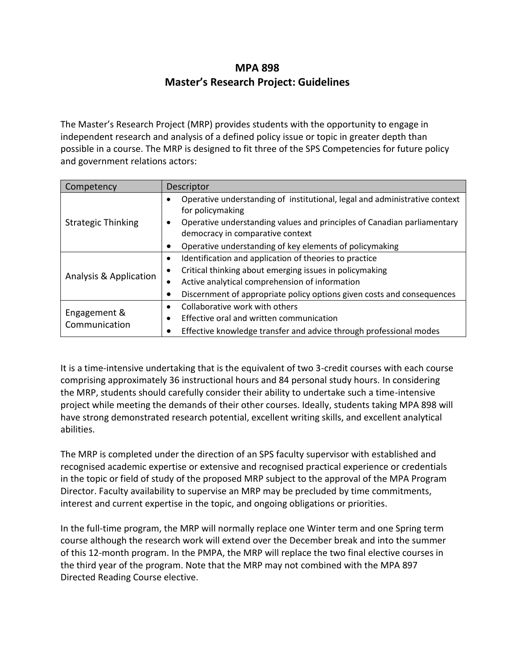# **MPA 898 Master's Research Project: Guidelines**

The Master's Research Project (MRP) provides students with the opportunity to engage in independent research and analysis of a defined policy issue or topic in greater depth than possible in a course. The MRP is designed to fit three of the SPS Competencies for future policy and government relations actors:

| Competency                    | Descriptor                                                                                                                                                                                                    |  |  |
|-------------------------------|---------------------------------------------------------------------------------------------------------------------------------------------------------------------------------------------------------------|--|--|
| <b>Strategic Thinking</b>     | Operative understanding of institutional, legal and administrative context<br>for policymaking<br>Operative understanding values and principles of Canadian parliamentary<br>democracy in comparative context |  |  |
|                               | Operative understanding of key elements of policymaking                                                                                                                                                       |  |  |
| Analysis & Application        | Identification and application of theories to practice<br>٠                                                                                                                                                   |  |  |
|                               | Critical thinking about emerging issues in policymaking<br>$\bullet$                                                                                                                                          |  |  |
|                               | Active analytical comprehension of information                                                                                                                                                                |  |  |
|                               | Discernment of appropriate policy options given costs and consequences                                                                                                                                        |  |  |
| Engagement &<br>Communication | Collaborative work with others                                                                                                                                                                                |  |  |
|                               | Effective oral and written communication                                                                                                                                                                      |  |  |
|                               | Effective knowledge transfer and advice through professional modes                                                                                                                                            |  |  |

It is a time-intensive undertaking that is the equivalent of two 3-credit courses with each course comprising approximately 36 instructional hours and 84 personal study hours. In considering the MRP, students should carefully consider their ability to undertake such a time-intensive project while meeting the demands of their other courses. Ideally, students taking MPA 898 will have strong demonstrated research potential, excellent writing skills, and excellent analytical abilities.

The MRP is completed under the direction of an SPS faculty supervisor with established and recognised academic expertise or extensive and recognised practical experience or credentials in the topic or field of study of the proposed MRP subject to the approval of the MPA Program Director. Faculty availability to supervise an MRP may be precluded by time commitments, interest and current expertise in the topic, and ongoing obligations or priorities.

In the full-time program, the MRP will normally replace one Winter term and one Spring term course although the research work will extend over the December break and into the summer of this 12-month program. In the PMPA, the MRP will replace the two final elective courses in the third year of the program. Note that the MRP may not combined with the MPA 897 Directed Reading Course elective.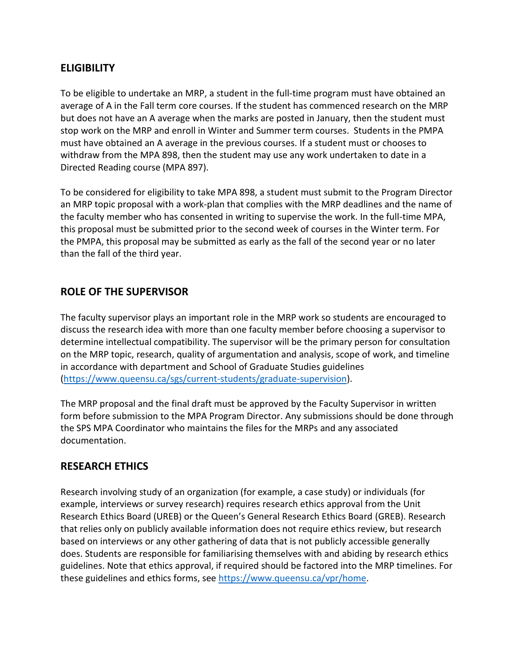## **ELIGIBILITY**

To be eligible to undertake an MRP, a student in the full-time program must have obtained an average of A in the Fall term core courses. If the student has commenced research on the MRP but does not have an A average when the marks are posted in January, then the student must stop work on the MRP and enroll in Winter and Summer term courses. Students in the PMPA must have obtained an A average in the previous courses. If a student must or chooses to withdraw from the MPA 898, then the student may use any work undertaken to date in a Directed Reading course (MPA 897).

To be considered for eligibility to take MPA 898, a student must submit to the Program Director an MRP topic proposal with a work-plan that complies with the MRP deadlines and the name of the faculty member who has consented in writing to supervise the work. In the full-time MPA, this proposal must be submitted prior to the second week of courses in the Winter term. For the PMPA, this proposal may be submitted as early as the fall of the second year or no later than the fall of the third year.

## **ROLE OF THE SUPERVISOR**

The faculty supervisor plays an important role in the MRP work so students are encouraged to discuss the research idea with more than one faculty member before choosing a supervisor to determine intellectual compatibility. The supervisor will be the primary person for consultation on the MRP topic, research, quality of argumentation and analysis, scope of work, and timeline in accordance with department and School of Graduate Studies guidelines [\(https://www.queensu.ca/sgs/current-students/graduate-supervision\)](https://www.queensu.ca/sgs/current-students/graduate-supervision).

The MRP proposal and the final draft must be approved by the Faculty Supervisor in written form before submission to the MPA Program Director. Any submissions should be done through the SPS MPA Coordinator who maintains the files for the MRPs and any associated documentation.

## **RESEARCH ETHICS**

Research involving study of an organization (for example, a case study) or individuals (for example, interviews or survey research) requires research ethics approval from the Unit Research Ethics Board (UREB) or the Queen's General Research Ethics Board (GREB). Research that relies only on publicly available information does not require ethics review, but research based on interviews or any other gathering of data that is not publicly accessible generally does. Students are responsible for familiarising themselves with and abiding by research ethics guidelines. Note that ethics approval, if required should be factored into the MRP timelines. For these guidelines and ethics forms, see [https://www.queensu.ca/vpr/home.](https://www.queensu.ca/vpr/home)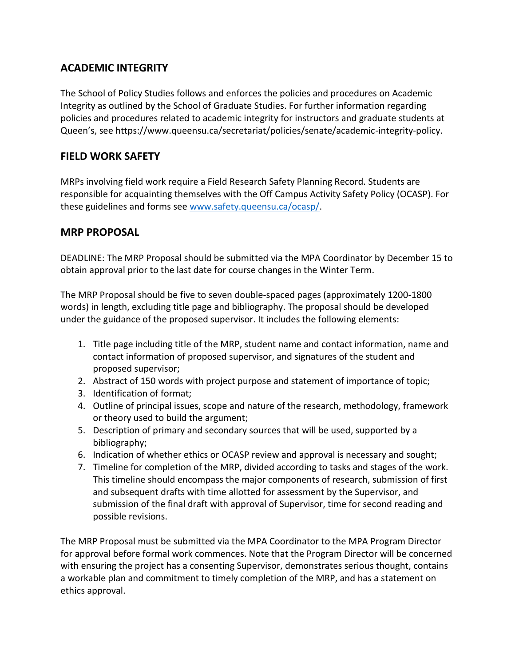## **ACADEMIC INTEGRITY**

The School of Policy Studies follows and enforces the policies and procedures on Academic Integrity as outlined by the School of Graduate Studies. For further information regarding policies and procedures related to academic integrity for instructors and graduate students at Queen's, see https://www.queensu.ca/secretariat/policies/senate/academic-integrity-policy.

## **FIELD WORK SAFETY**

MRPs involving field work require a Field Research Safety Planning Record. Students are responsible for acquainting themselves with the Off Campus Activity Safety Policy (OCASP). For these guidelines and forms see [www.safety.queensu.ca/ocasp/.](http://www.safety.queensu.ca/ocasp/)

## **MRP PROPOSAL**

DEADLINE: The MRP Proposal should be submitted via the MPA Coordinator by December 15 to obtain approval prior to the last date for course changes in the Winter Term.

The MRP Proposal should be five to seven double-spaced pages (approximately 1200-1800 words) in length, excluding title page and bibliography. The proposal should be developed under the guidance of the proposed supervisor. It includes the following elements:

- 1. Title page including title of the MRP, student name and contact information, name and contact information of proposed supervisor, and signatures of the student and proposed supervisor;
- 2. Abstract of 150 words with project purpose and statement of importance of topic;
- 3. Identification of format;
- 4. Outline of principal issues, scope and nature of the research, methodology, framework or theory used to build the argument;
- 5. Description of primary and secondary sources that will be used, supported by a bibliography;
- 6. Indication of whether ethics or OCASP review and approval is necessary and sought;
- 7. Timeline for completion of the MRP, divided according to tasks and stages of the work. This timeline should encompass the major components of research, submission of first and subsequent drafts with time allotted for assessment by the Supervisor, and submission of the final draft with approval of Supervisor, time for second reading and possible revisions.

The MRP Proposal must be submitted via the MPA Coordinator to the MPA Program Director for approval before formal work commences. Note that the Program Director will be concerned with ensuring the project has a consenting Supervisor, demonstrates serious thought, contains a workable plan and commitment to timely completion of the MRP, and has a statement on ethics approval.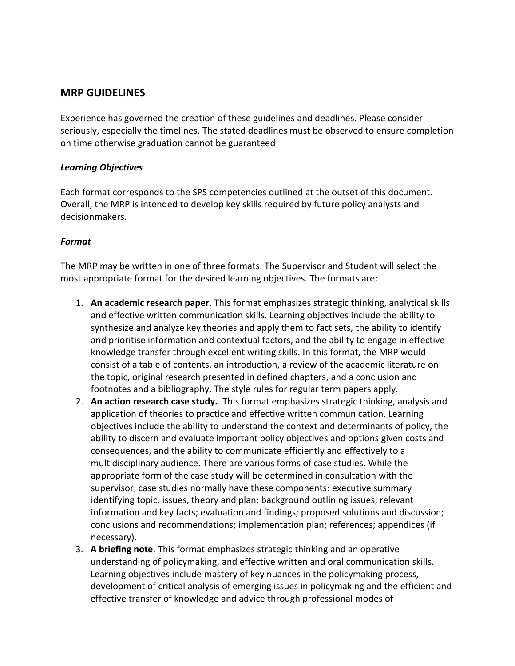### **MRP GUIDELINES**

Experience has governed the creation of these guidelines and deadlines. Please consider seriously, especially the timelines. The stated deadlines must be observed to ensure completion on time otherwise graduation cannot be guaranteed

#### *Learning Objectives*

Each format corresponds to the SPS competencies outlined at the outset of this document. Overall, the MRP is intended to develop key skills required by future policy analysts and decisionmakers.

#### *Format*

The MRP may be written in one of three formats. The Supervisor and Student will select the most appropriate format for the desired learning objectives. The formats are:

- 1. **An academic research paper**. This format emphasizes strategic thinking, analytical skills and effective written communication skills. Learning objectives include the ability to synthesize and analyze key theories and apply them to fact sets, the ability to identify and prioritise information and contextual factors, and the ability to engage in effective knowledge transfer through excellent writing skills. In this format, the MRP would consist of a table of contents, an introduction, a review of the academic literature on the topic, original research presented in defined chapters, and a conclusion and footnotes and a bibliography. The style rules for regular term papers apply.
- 2. **An action research case study.**. This format emphasizes strategic thinking, analysis and application of theories to practice and effective written communication. Learning objectives include the ability to understand the context and determinants of policy, the ability to discern and evaluate important policy objectives and options given costs and consequences, and the ability to communicate efficiently and effectively to a multidisciplinary audience. There are various forms of case studies. While the appropriate form of the case study will be determined in consultation with the supervisor, case studies normally have these components: executive summary identifying topic, issues, theory and plan; background outlining issues, relevant information and key facts; evaluation and findings; proposed solutions and discussion; conclusions and recommendations; implementation plan; references; appendices (if necessary).
- 3. **A briefing note**. This format emphasizes strategic thinking and an operative understanding of policymaking, and effective written and oral communication skills. Learning objectives include mastery of key nuances in the policymaking process, development of critical analysis of emerging issues in policymaking and the efficient and effective transfer of knowledge and advice through professional modes of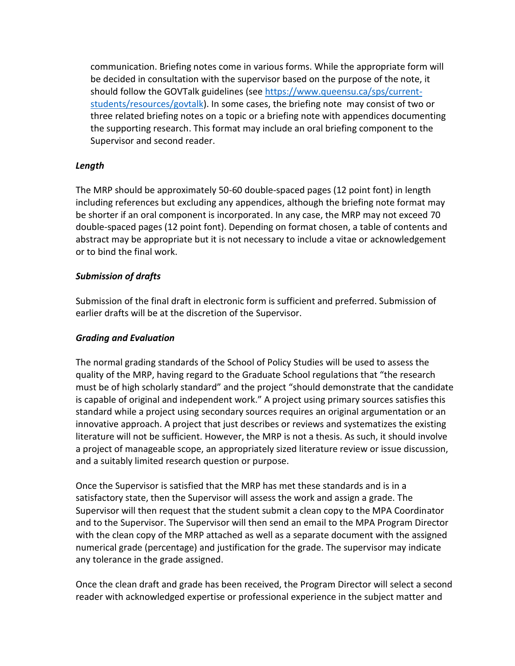communication. Briefing notes come in various forms. While the appropriate form will be decided in consultation with the supervisor based on the purpose of the note, it should follow the GOVTalk guidelines (see [https://www.queensu.ca/sps/current](https://www.queensu.ca/sps/current-students/resources/govtalk)[students/resources/govtalk\)](https://www.queensu.ca/sps/current-students/resources/govtalk). In some cases, the briefing note may consist of two or three related briefing notes on a topic or a briefing note with appendices documenting the supporting research. This format may include an oral briefing component to the Supervisor and second reader.

### *Length*

The MRP should be approximately 50-60 double-spaced pages (12 point font) in length including references but excluding any appendices, although the briefing note format may be shorter if an oral component is incorporated. In any case, the MRP may not exceed 70 double-spaced pages (12 point font). Depending on format chosen, a table of contents and abstract may be appropriate but it is not necessary to include a vitae or acknowledgement or to bind the final work.

### *Submission of drafts*

Submission of the final draft in electronic form is sufficient and preferred. Submission of earlier drafts will be at the discretion of the Supervisor.

### *Grading and Evaluation*

The normal grading standards of the School of Policy Studies will be used to assess the quality of the MRP, having regard to the Graduate School regulations that "the research must be of high scholarly standard" and the project "should demonstrate that the candidate is capable of original and independent work." A project using primary sources satisfies this standard while a project using secondary sources requires an original argumentation or an innovative approach. A project that just describes or reviews and systematizes the existing literature will not be sufficient. However, the MRP is not a thesis. As such, it should involve a project of manageable scope, an appropriately sized literature review or issue discussion, and a suitably limited research question or purpose.

Once the Supervisor is satisfied that the MRP has met these standards and is in a satisfactory state, then the Supervisor will assess the work and assign a grade. The Supervisor will then request that the student submit a clean copy to the MPA Coordinator and to the Supervisor. The Supervisor will then send an email to the MPA Program Director with the clean copy of the MRP attached as well as a separate document with the assigned numerical grade (percentage) and justification for the grade. The supervisor may indicate any tolerance in the grade assigned.

Once the clean draft and grade has been received, the Program Director will select a second reader with acknowledged expertise or professional experience in the subject matter and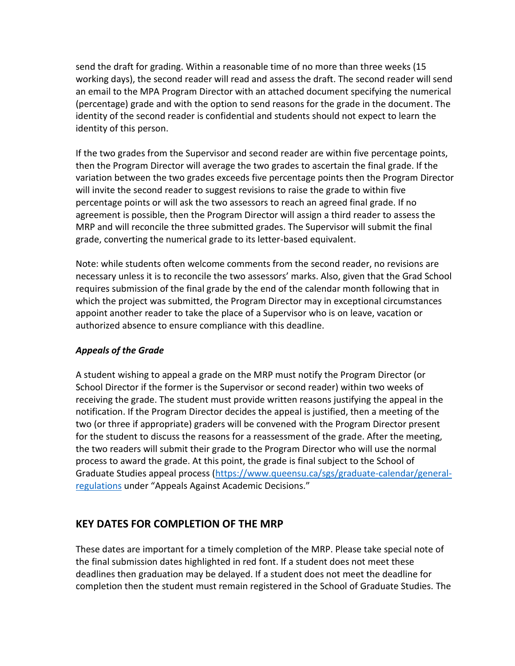send the draft for grading. Within a reasonable time of no more than three weeks (15 working days), the second reader will read and assess the draft. The second reader will send an email to the MPA Program Director with an attached document specifying the numerical (percentage) grade and with the option to send reasons for the grade in the document. The identity of the second reader is confidential and students should not expect to learn the identity of this person.

If the two grades from the Supervisor and second reader are within five percentage points, then the Program Director will average the two grades to ascertain the final grade. If the variation between the two grades exceeds five percentage points then the Program Director will invite the second reader to suggest revisions to raise the grade to within five percentage points or will ask the two assessors to reach an agreed final grade. If no agreement is possible, then the Program Director will assign a third reader to assess the MRP and will reconcile the three submitted grades. The Supervisor will submit the final grade, converting the numerical grade to its letter-based equivalent.

Note: while students often welcome comments from the second reader, no revisions are necessary unless it is to reconcile the two assessors' marks. Also, given that the Grad School requires submission of the final grade by the end of the calendar month following that in which the project was submitted, the Program Director may in exceptional circumstances appoint another reader to take the place of a Supervisor who is on leave, vacation or authorized absence to ensure compliance with this deadline.

### *Appeals of the Grade*

A student wishing to appeal a grade on the MRP must notify the Program Director (or School Director if the former is the Supervisor or second reader) within two weeks of receiving the grade. The student must provide written reasons justifying the appeal in the notification. If the Program Director decides the appeal is justified, then a meeting of the two (or three if appropriate) graders will be convened with the Program Director present for the student to discuss the reasons for a reassessment of the grade. After the meeting, the two readers will submit their grade to the Program Director who will use the normal process to award the grade. At this point, the grade is final subject to the School of Graduate Studies appeal process [\(https://www.queensu.ca/sgs/graduate-calendar/general](https://www.queensu.ca/sgs/graduate-calendar/general-regulations)[regulations](https://www.queensu.ca/sgs/graduate-calendar/general-regulations) under "Appeals Against Academic Decisions."

## **KEY DATES FOR COMPLETION OF THE MRP**

These dates are important for a timely completion of the MRP. Please take special note of the final submission dates highlighted in red font. If a student does not meet these deadlines then graduation may be delayed. If a student does not meet the deadline for completion then the student must remain registered in the School of Graduate Studies. The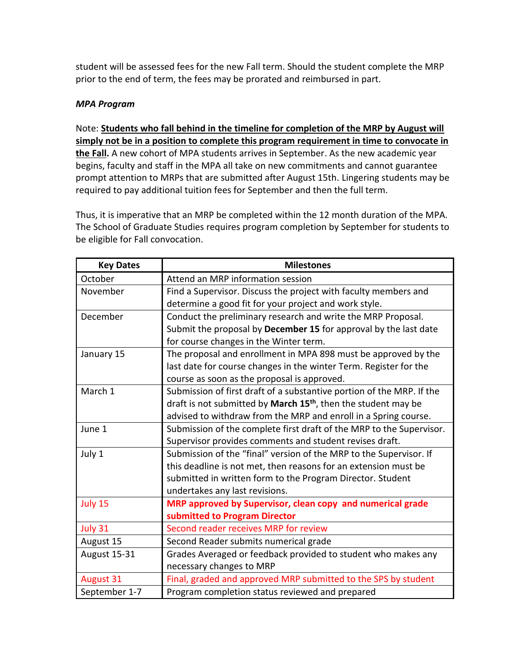student will be assessed fees for the new Fall term. Should the student complete the MRP prior to the end of term, the fees may be prorated and reimbursed in part.

### *MPA Program*

Note: **Students who fall behind in the timeline for completion of the MRP by August will simply not be in a position to complete this program requirement in time to convocate in the Fall.** A new cohort of MPA students arrives in September. As the new academic year begins, faculty and staff in the MPA all take on new commitments and cannot guarantee prompt attention to MRPs that are submitted after August 15th. Lingering students may be

Thus, it is imperative that an MRP be completed within the 12 month duration of the MPA. The School of Graduate Studies requires program completion by September for students to be eligible for Fall convocation.

required to pay additional tuition fees for September and then the full term.

| <b>Key Dates</b> | <b>Milestones</b>                                                          |  |  |
|------------------|----------------------------------------------------------------------------|--|--|
| October          | Attend an MRP information session                                          |  |  |
| November         | Find a Supervisor. Discuss the project with faculty members and            |  |  |
|                  | determine a good fit for your project and work style.                      |  |  |
| December         | Conduct the preliminary research and write the MRP Proposal.               |  |  |
|                  | Submit the proposal by December 15 for approval by the last date           |  |  |
|                  | for course changes in the Winter term.                                     |  |  |
| January 15       | The proposal and enrollment in MPA 898 must be approved by the             |  |  |
|                  | last date for course changes in the winter Term. Register for the          |  |  |
|                  | course as soon as the proposal is approved.                                |  |  |
| March 1          | Submission of first draft of a substantive portion of the MRP. If the      |  |  |
|                  | draft is not submitted by March 15 <sup>th</sup> , then the student may be |  |  |
|                  | advised to withdraw from the MRP and enroll in a Spring course.            |  |  |
| June 1           | Submission of the complete first draft of the MRP to the Supervisor.       |  |  |
|                  | Supervisor provides comments and student revises draft.                    |  |  |
| July 1           | Submission of the "final" version of the MRP to the Supervisor. If         |  |  |
|                  | this deadline is not met, then reasons for an extension must be            |  |  |
|                  | submitted in written form to the Program Director. Student                 |  |  |
|                  | undertakes any last revisions.                                             |  |  |
| July 15          | MRP approved by Supervisor, clean copy and numerical grade                 |  |  |
|                  | submitted to Program Director                                              |  |  |
| July 31          | Second reader receives MRP for review                                      |  |  |
| August 15        | Second Reader submits numerical grade                                      |  |  |
| August 15-31     | Grades Averaged or feedback provided to student who makes any              |  |  |
|                  | necessary changes to MRP                                                   |  |  |
| <b>August 31</b> | Final, graded and approved MRP submitted to the SPS by student             |  |  |
| September 1-7    | Program completion status reviewed and prepared                            |  |  |